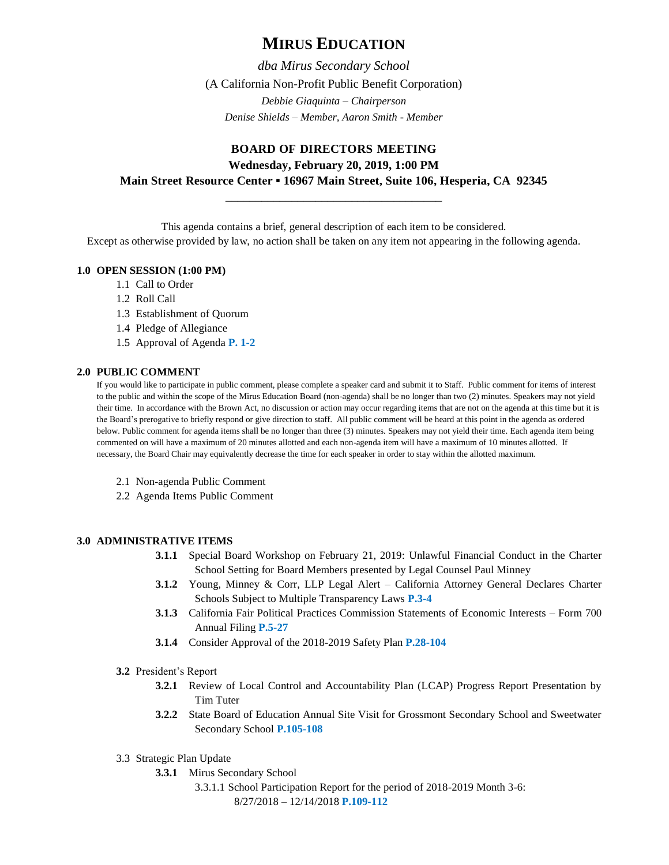# **MIRUS EDUCATION**

*dba Mirus Secondary School* (A California Non-Profit Public Benefit Corporation) *Debbie Giaquinta – Chairperson Denise Shields – Member, Aaron Smith - Member*

## **BOARD OF DIRECTORS MEETING Wednesday, February 20, 2019, 1:00 PM Main Street Resource Center ▪ 16967 Main Street, Suite 106, Hesperia, CA 92345**

This agenda contains a brief, general description of each item to be considered.

\_\_\_\_\_\_\_\_\_\_\_\_\_\_\_\_\_\_\_\_\_\_\_\_\_\_\_\_\_\_\_\_\_\_\_\_

Except as otherwise provided by law, no action shall be taken on any item not appearing in the following agenda.

#### **1.0 OPEN SESSION (1:00 PM)**

- 1.1 Call to Order
- 1.2 Roll Call
- 1.3 Establishment of Quorum
- 1.4 Pledge of Allegiance
- 1.5 Approval of Agenda **P. 1-2**

#### **2.0 PUBLIC COMMENT**

If you would like to participate in public comment, please complete a speaker card and submit it to Staff. Public comment for items of interest to the public and within the scope of the Mirus Education Board (non-agenda) shall be no longer than two (2) minutes. Speakers may not yield their time. In accordance with the Brown Act, no discussion or action may occur regarding items that are not on the agenda at this time but it is the Board's prerogative to briefly respond or give direction to staff. All public comment will be heard at this point in the agenda as ordered below. Public comment for agenda items shall be no longer than three (3) minutes. Speakers may not yield their time. Each agenda item being commented on will have a maximum of 20 minutes allotted and each non-agenda item will have a maximum of 10 minutes allotted. If necessary, the Board Chair may equivalently decrease the time for each speaker in order to stay within the allotted maximum.

- 2.1 Non-agenda Public Comment
- 2.2 Agenda Items Public Comment

### **3.0 ADMINISTRATIVE ITEMS**

- **3.1.1** Special Board Workshop on February 21, 2019: Unlawful Financial Conduct in the Charter School Setting for Board Members presented by Legal Counsel Paul Minney
- **3.1.2** Young, Minney & Corr, LLP Legal Alert California Attorney General Declares Charter Schools Subject to Multiple Transparency Laws **P.3-4**
- **3.1.3** California Fair Political Practices Commission Statements of Economic Interests Form 700 Annual Filing **P.5-27**
- **3.1.4** Consider Approval of the 2018-2019 Safety Plan **P.28-104**
- **3.2** President's Report
	- **3.2.1** Review of Local Control and Accountability Plan (LCAP) Progress Report Presentation by Tim Tuter
	- **3.2.2** State Board of Education Annual Site Visit for Grossmont Secondary School and Sweetwater Secondary School **P.105-108**
- 3.3 Strategic Plan Update
	- **3.3.1** Mirus Secondary School
		- 3.3.1.1 School Participation Report for the period of 2018-2019 Month 3-6: 8/27/2018 – 12/14/2018 **P.109-112**